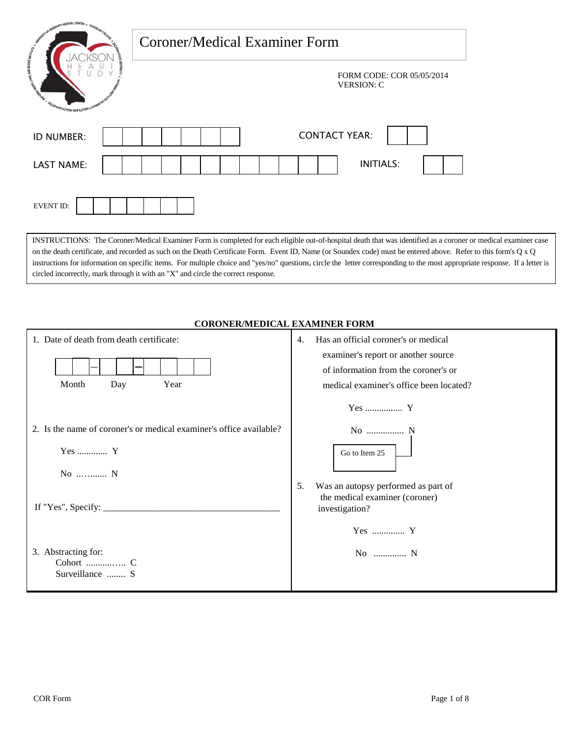| <b>UPPLYMEDICAL CENTER</b><br>Coroner/Medical Examiner Form                                                                                                                                                                                           |                                                                                                                                                                                                                                                                                                                                                |
|-------------------------------------------------------------------------------------------------------------------------------------------------------------------------------------------------------------------------------------------------------|------------------------------------------------------------------------------------------------------------------------------------------------------------------------------------------------------------------------------------------------------------------------------------------------------------------------------------------------|
| <b>WASHIO ALCOHOLY CINY MULTIPED</b>                                                                                                                                                                                                                  | FORM CODE: COR 05/05/2014<br><b>VERSION: C</b>                                                                                                                                                                                                                                                                                                 |
| ID NUMBER:                                                                                                                                                                                                                                            | <b>CONTACT YEAR:</b>                                                                                                                                                                                                                                                                                                                           |
| <b>LAST NAME:</b>                                                                                                                                                                                                                                     | <b>INITIALS:</b>                                                                                                                                                                                                                                                                                                                               |
| <b>EVENT ID:</b>                                                                                                                                                                                                                                      |                                                                                                                                                                                                                                                                                                                                                |
| on the death certificate, and recorded as such on the Death Certificate Form. Event ID, Name (or Soundex code) must be entered above. Refer to this form's Q x Q<br>circled incorrectly, mark through it with an "X" and circle the correct response. | INSTRUCTIONS: The Coroner/Medical Examiner Form is completed for each eligible out-of-hospital death that was identified as a coroner or medical examiner case<br>instructions for information on specific items. For multiple choice and "yes/no" questions, circle the letter corresponding to the most appropriate response. If a letter is |
| <b>CORONER/MEDICAL EXAMINER FORM</b>                                                                                                                                                                                                                  |                                                                                                                                                                                                                                                                                                                                                |
| 1. Date of death from death certificate:                                                                                                                                                                                                              | Has an official coroner's or medical<br>4.                                                                                                                                                                                                                                                                                                     |
|                                                                                                                                                                                                                                                       | examiner's report or another source                                                                                                                                                                                                                                                                                                            |
| Month<br>Day<br>Year                                                                                                                                                                                                                                  | of information from the coroner's or<br>medical examiner's office been located?                                                                                                                                                                                                                                                                |
|                                                                                                                                                                                                                                                       |                                                                                                                                                                                                                                                                                                                                                |
| 2. Is the name of coroner's or medical examiner's office available?                                                                                                                                                                                   | No  N                                                                                                                                                                                                                                                                                                                                          |
| Yes  Y                                                                                                                                                                                                                                                | Go to Item 25                                                                                                                                                                                                                                                                                                                                  |
| No  N                                                                                                                                                                                                                                                 | 5.                                                                                                                                                                                                                                                                                                                                             |
| If "Yes", Specify:                                                                                                                                                                                                                                    | Was an autopsy performed as part of<br>the medical examiner (coroner)<br>investigation?                                                                                                                                                                                                                                                        |

Yes .............. Y

No .............. N

3. Abstracting for:

 Cohort ...........….. C Surveillance ........ S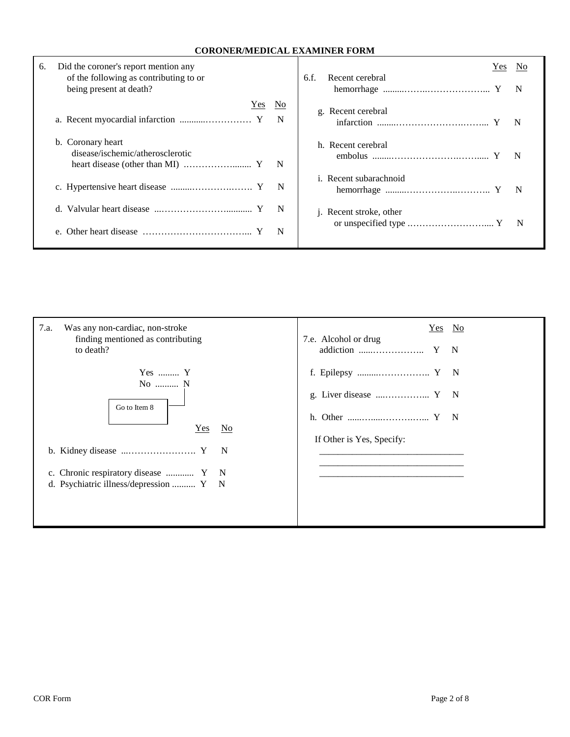## **CORONER/MEDICAL EXAMINER FORM**

| 6. | Did the coroner's report mention any<br>of the following as contributing to or<br>being present at death? |     |
|----|-----------------------------------------------------------------------------------------------------------|-----|
|    | Yes                                                                                                       | No  |
|    |                                                                                                           | N   |
|    | b. Coronary heart<br>disease/ischemic/atherosclerotic                                                     | – N |
|    |                                                                                                           | N   |
|    |                                                                                                           | N   |
|    |                                                                                                           | N   |

## Yes No 6.f. Recent cerebral hemorrhage .........……..………………... Y N g. Recent cerebral infarction ........………………….……... Y N h. Recent cerebral embolus ........………………….……..... Y N i. Recent subarachnoid hemorrhage .........……………..……….. Y N j. Recent stroke, other or unspecified type .…………………….... Y N

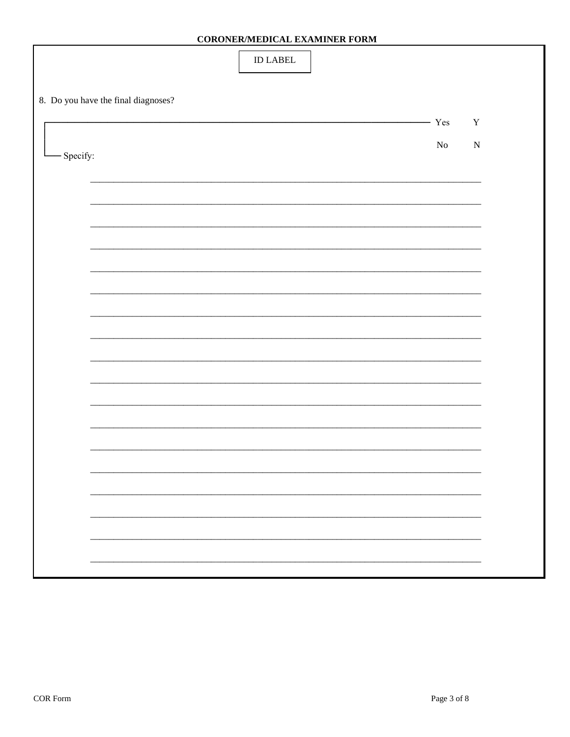| $\mathop{\rm ID}\nolimits$ LABEL                       |  |
|--------------------------------------------------------|--|
| 8. Do you have the final diagnoses?                    |  |
| - Yes<br>$\mathbf Y$<br><u> Liberatura de la conte</u> |  |
| ${\bf No}$<br>${\bf N}$<br>- Specify:                  |  |
|                                                        |  |
|                                                        |  |
|                                                        |  |
|                                                        |  |
|                                                        |  |
|                                                        |  |
|                                                        |  |
|                                                        |  |
|                                                        |  |
|                                                        |  |
|                                                        |  |
|                                                        |  |
|                                                        |  |
|                                                        |  |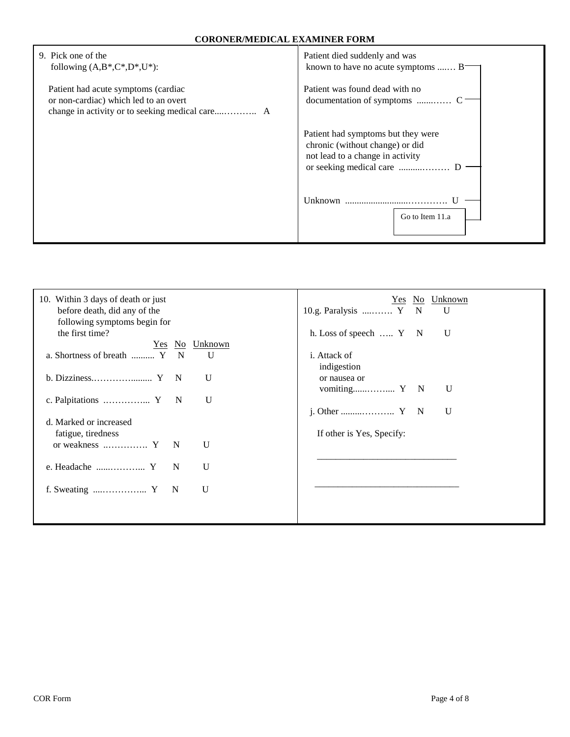| 9. Pick one of the<br>following $(A,B^*,C^*,D^*,U^*)$ :                      | Patient died suddenly and was<br>known to have no acute symptoms  B                                       |
|------------------------------------------------------------------------------|-----------------------------------------------------------------------------------------------------------|
| Patient had acute symptoms (cardiac<br>or non-cardiac) which led to an overt | Patient was found dead with no                                                                            |
|                                                                              | Patient had symptoms but they were<br>chronic (without change) or did<br>not lead to a change in activity |
|                                                                              | Unknown<br>Go to Item 11.a                                                                                |

| 10. Within 3 days of death or just<br>before death, did any of the<br>following symptoms begin for | Yes No Unknown<br>10.g. Paralysis  Y N<br>$\mathbf{U}$ |
|----------------------------------------------------------------------------------------------------|--------------------------------------------------------|
| the first time?                                                                                    | h. Loss of speech  Y N<br>U                            |
| Yes No Unknown                                                                                     |                                                        |
| a. Shortness of breath  Y<br>$\mathbf N$<br>U                                                      | <i>i</i> . Attack of<br>indigestion                    |
| U                                                                                                  | or nausea or<br>U                                      |
| U                                                                                                  | U                                                      |
| d. Marked or increased<br>fatigue, tiredness                                                       | If other is Yes, Specify:                              |
| $\mathbf{U}$                                                                                       |                                                        |
| $\mathbf{U}$<br>e. Headache $\dots\dots\dots\dots\dots Y$<br>N                                     |                                                        |
| U                                                                                                  |                                                        |
|                                                                                                    |                                                        |
|                                                                                                    |                                                        |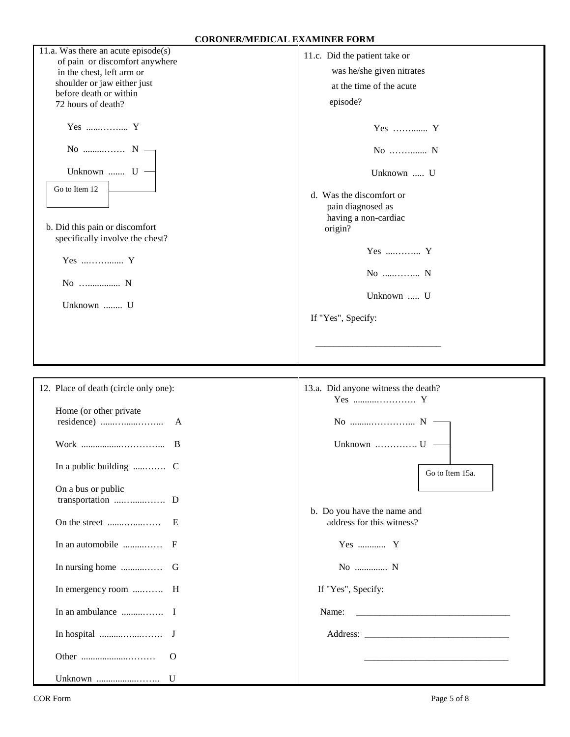| 11.a. Was there an acute $episode(s)$<br>of pain or discomfort anywhere<br>in the chest, left arm or<br>shoulder or jaw either just<br>before death or within<br>72 hours of death?<br>Yes  Y<br>No $N \rightarrow$ | 11.c. Did the patient take or<br>was he/she given nitrates<br>at the time of the acute<br>episode?<br>Yes  Y<br>No  N                                 |
|---------------------------------------------------------------------------------------------------------------------------------------------------------------------------------------------------------------------|-------------------------------------------------------------------------------------------------------------------------------------------------------|
| Unknown  U -<br>Go to Item 12<br>b. Did this pain or discomfort<br>specifically involve the chest?<br>Yes  Y<br>No  N<br>Unknown  U                                                                                 | Unknown  U<br>d. Was the discomfort or<br>pain diagnosed as<br>having a non-cardiac<br>origin?<br>Yes  Y<br>No  N<br>Unknown  U<br>If "Yes", Specify: |
| 12. Place of death (circle only one):                                                                                                                                                                               | 13.a. Did anyone witness the death?<br>Yes  Y                                                                                                         |
| Home (or other private                                                                                                                                                                                              |                                                                                                                                                       |
|                                                                                                                                                                                                                     | Unknown $\dots\dots\dots\dots\cup$                                                                                                                    |
| On a bus or public<br>transportation  D<br>In emergency room  H                                                                                                                                                     | Go to Item 15a.<br>b. Do you have the name and<br>address for this witness?<br>Yes  Y<br>No  N<br>If "Yes", Specify:<br>Name:                         |
|                                                                                                                                                                                                                     |                                                                                                                                                       |

 $\overline{\phantom{a}}$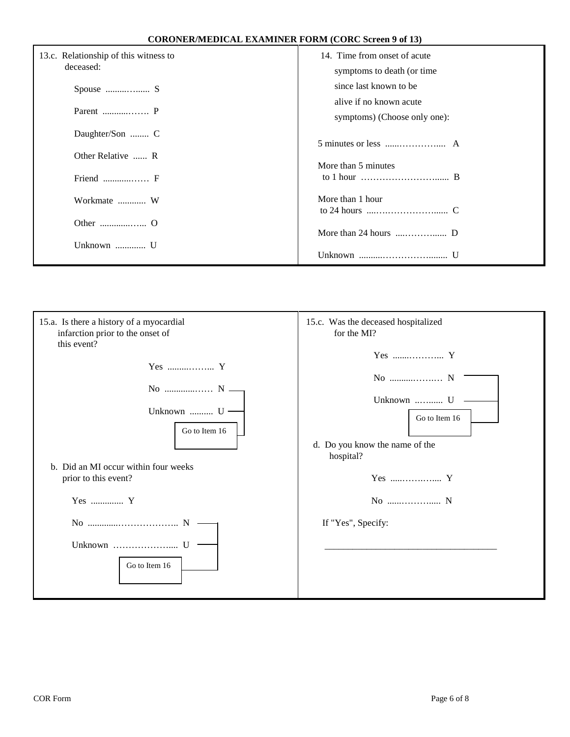|  |  | <b>CORONER/MEDICAL EXAMINER FORM (CORC Screen 9 of 13)</b> |
|--|--|------------------------------------------------------------|
|--|--|------------------------------------------------------------|

| 13.c. Relationship of this witness to<br>deceased: | 14. Time from onset of acute<br>symptoms to death (or time)               |
|----------------------------------------------------|---------------------------------------------------------------------------|
|                                                    | since last known to be                                                    |
|                                                    | alive if no known acute                                                   |
|                                                    | symptoms) (Choose only one):                                              |
| Daughter/Son  C                                    |                                                                           |
| Other Relative  R                                  |                                                                           |
|                                                    | More than 5 minutes                                                       |
| Friend $\dots \dots \dots \dots$ F                 | to 1 hour $\dots \dots \dots \dots \dots \dots \dots \dots \dots \dots$ B |
| Workmate  W                                        | More than 1 hour                                                          |
|                                                    |                                                                           |
|                                                    |                                                                           |
| Unknown  U                                         |                                                                           |
|                                                    |                                                                           |

| 15.a. Is there a history of a myocardial<br>infarction prior to the onset of<br>this event? | 15.c. Was the deceased hospitalized<br>for the MI?                                  |
|---------------------------------------------------------------------------------------------|-------------------------------------------------------------------------------------|
| Yes  Y<br>Unknown $U -$<br>Go to Item 16                                                    | No  N<br>Unknown  U<br>Go to Item 16<br>d. Do you know the name of the<br>hospital? |
| b. Did an MI occur within four weeks<br>prior to this event?<br>Yes  Y                      | Yes  Y<br>No  N                                                                     |
| Unknown<br>Go to Item 16                                                                    | If "Yes", Specify:                                                                  |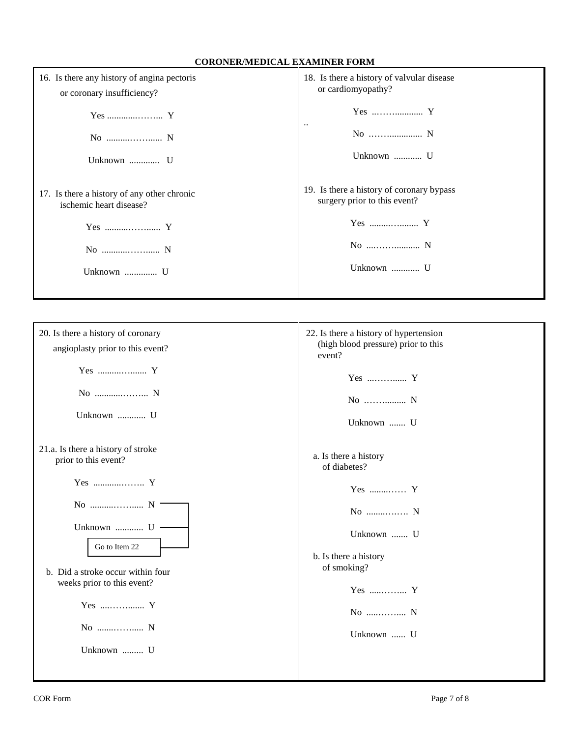## **CORONER/MEDICAL EXAMINER FORM**

| 16. Is there any history of angina pectoris<br>or coronary insufficiency? | 18. Is there a history of valvular disease<br>or cardiomyopathy?          |
|---------------------------------------------------------------------------|---------------------------------------------------------------------------|
| Unknown  U                                                                | Yes  Y<br>$\ddotsc$<br>Unknown  U                                         |
| 17. Is there a history of any other chronic<br>ischemic heart disease?    | 19. Is there a history of coronary bypass<br>surgery prior to this event? |
| Yes  Y                                                                    |                                                                           |
|                                                                           | No  N                                                                     |
| Unknown  U                                                                | Unknown  U                                                                |

| 20. Is there a history of coronary<br>angioplasty prior to this event? | 22. Is there a history of hypertension<br>(high blood pressure) prior to this<br>event? |
|------------------------------------------------------------------------|-----------------------------------------------------------------------------------------|
|                                                                        | Yes  Y                                                                                  |
| Unknown  U                                                             | No  N                                                                                   |
|                                                                        | Unknown  U                                                                              |
| 21.a. Is there a history of stroke<br>prior to this event?             | a. Is there a history<br>of diabetes?                                                   |
| Yes  Y                                                                 | Yes  Y                                                                                  |
| Unknown  U -                                                           | No  N                                                                                   |
| Go to Item 22                                                          | Unknown  U<br>b. Is there a history                                                     |
| b. Did a stroke occur within four<br>weeks prior to this event?        | of smoking?                                                                             |
| Yes  Y                                                                 | $Yes$ Y<br>No  N                                                                        |
| No  N                                                                  | Unknown  U                                                                              |
| Unknown  U                                                             |                                                                                         |
|                                                                        |                                                                                         |